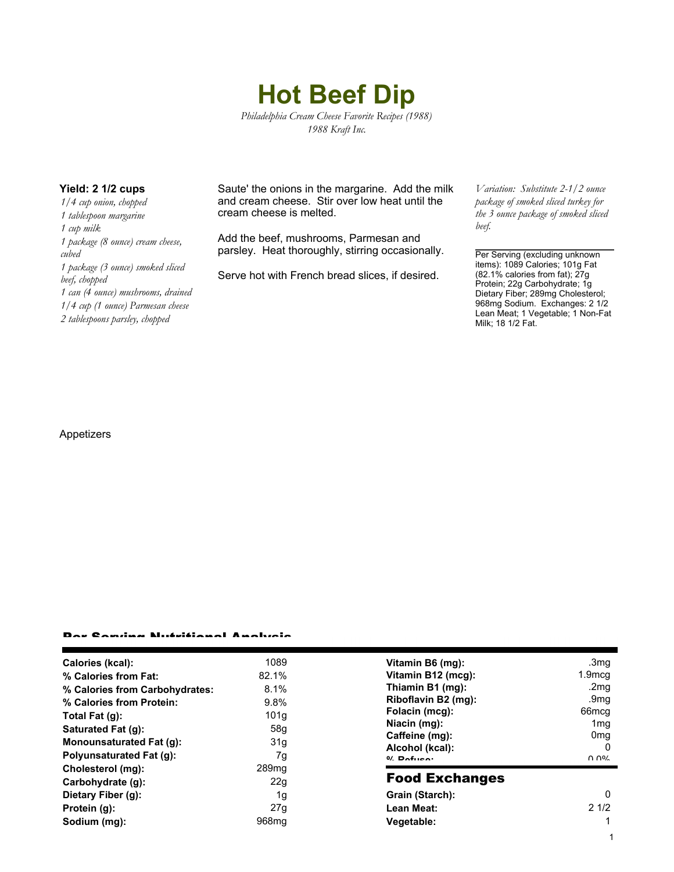# **Hot Beef Dip**

*Philadelphia Cream Cheese Favorite Recipes (1988) 1988 Kraft Inc.*

*1/4 cup onion, chopped 1 tablespoon margarine 1 cup milk 1 package (8 ounce) cream cheese, cubed 1 package (3 ounce) smoked sliced beef, chopped 1 can (4 ounce) mushrooms, drained 1/4 cup (1 ounce) Parmesan cheese 2 tablespoons parsley, chopped*

**Yield: 2 1/2 cups** Saute' the onions in the margarine. Add the milk and cream cheese. Stir over low heat until the cream cheese is melted.

> Add the beef, mushrooms, Parmesan and parsley. Heat thoroughly, stirring occasionally.

Serve hot with French bread slices, if desired.

*Variation: Substitute 2-1/2 ounce package of smoked sliced turkey for the 3 ounce package of smoked sliced beef.*

Per Serving (excluding unknown items): 1089 Calories; 101g Fat (82.1% calories from fat); 27g Protein; 22g Carbohydrate; 1g Dietary Fiber; 289mg Cholesterol; 968mg Sodium. Exchanges: 2 1/2 Lean Meat; 1 Vegetable; 1 Non-Fat Milk; 18 1/2 Fat.

1

### Appetizers

#### Per Serving Nutritional Analysis

| Calories (kcal):                | 1089              | Vitamin B6 (mg):      | .3 <sub>mg</sub>  |
|---------------------------------|-------------------|-----------------------|-------------------|
| % Calories from Fat:            | 82.1%             | Vitamin B12 (mcg):    | $1.9$ mcq         |
| % Calories from Carbohydrates:  | 8.1%              | Thiamin B1 (mg):      | .2mq              |
| % Calories from Protein:        | 9.8%              | Riboflavin B2 (mg):   | .9mq              |
| Total Fat (g):                  | 101q              | Folacin (mcg):        | 66 <sub>mcq</sub> |
| Saturated Fat (q):              | 58g               | Niacin (mg):          | 1 <sub>mq</sub>   |
|                                 |                   | Caffeine (mg):        | 0 <sub>mq</sub>   |
| Monounsaturated Fat (q):        | 31g               | Alcohol (kcal):       | 0                 |
| <b>Polyunsaturated Fat (g):</b> | 7g                | $0/2$ Pofileon        | በ በ%              |
| Cholesterol (mg):               | 289 <sub>mq</sub> |                       |                   |
| Carbohydrate (g):               | 22g               | <b>Food Exchanges</b> |                   |
| Dietary Fiber (g):              | 1g                | Grain (Starch):       | 0                 |
| Protein (g):                    | 27g               | Lean Meat:            | 21/2              |
| Sodium (mg):                    | 968 <sub>mq</sub> | Vegetable:            |                   |